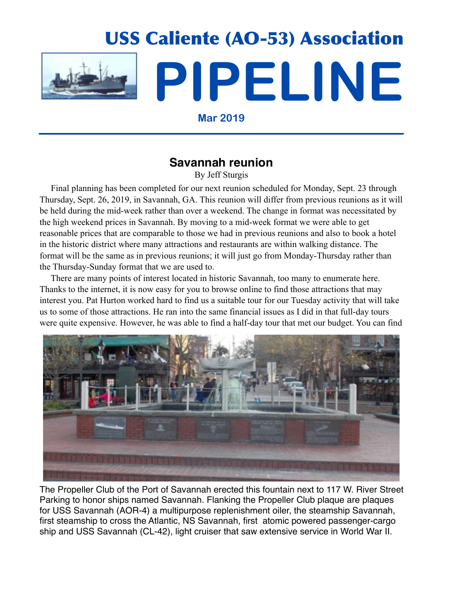

**Mar 2019**

## **Savannah reunion**

By Jeff Sturgis

 Final planning has been completed for our next reunion scheduled for Monday, Sept. 23 through Thursday, Sept. 26, 2019, in Savannah, GA. This reunion will differ from previous reunions as it will be held during the mid-week rather than over a weekend. The change in format was necessitated by the high weekend prices in Savannah. By moving to a mid-week format we were able to get reasonable prices that are comparable to those we had in previous reunions and also to book a hotel in the historic district where many attractions and restaurants are within walking distance. The format will be the same as in previous reunions; it will just go from Monday-Thursday rather than the Thursday-Sunday format that we are used to.

 There are many points of interest located in historic Savannah, too many to enumerate here. Thanks to the internet, it is now easy for you to browse online to find those attractions that may interest you. Pat Hurton worked hard to find us a suitable tour for our Tuesday activity that will take us to some of those attractions. He ran into the same financial issues as I did in that full-day tours were quite expensive. However, he was able to find a half-day tour that met our budget. You can find



The Propeller Club of the Port of Savannah erected this fountain next to 117 W. River Street Parking to honor ships named Savannah. Flanking the Propeller Club plaque are plaques for USS Savannah (AOR-4) a multipurpose replenishment oiler, the steamship Savannah, first steamship to cross the Atlantic, NS Savannah, first atomic powered passenger-cargo ship and USS Savannah (CL-42), light cruiser that saw extensive service in World War II.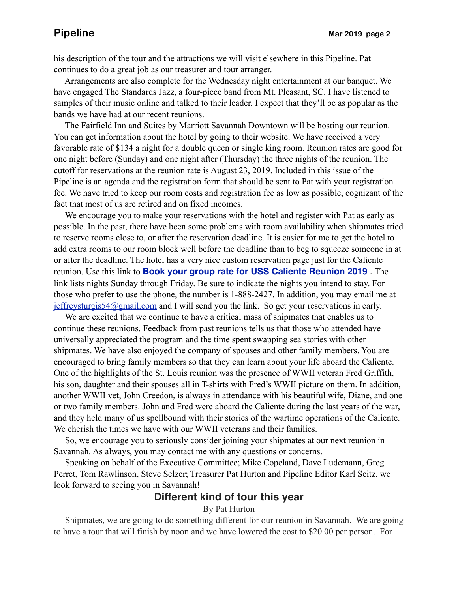his description of the tour and the attractions we will visit elsewhere in this Pipeline. Pat continues to do a great job as our treasurer and tour arranger.

 Arrangements are also complete for the Wednesday night entertainment at our banquet. We have engaged The Standards Jazz, a four-piece band from Mt. Pleasant, SC. I have listened to samples of their music online and talked to their leader. I expect that they'll be as popular as the bands we have had at our recent reunions.

 The Fairfield Inn and Suites by Marriott Savannah Downtown will be hosting our reunion. You can get information about the hotel by going to their website. We have received a very favorable rate of \$134 a night for a double queen or single king room. Reunion rates are good for one night before (Sunday) and one night after (Thursday) the three nights of the reunion. The cutoff for reservations at the reunion rate is August 23, 2019. Included in this issue of the Pipeline is an agenda and the registration form that should be sent to Pat with your registration fee. We have tried to keep our room costs and registration fee as low as possible, cognizant of the fact that most of us are retired and on fixed incomes.

 We encourage you to make your reservations with the hotel and register with Pat as early as possible. In the past, there have been some problems with room availability when shipmates tried to reserve rooms close to, or after the reservation deadline. It is easier for me to get the hotel to add extra rooms to our room block well before the deadline than to beg to squeeze someone in at or after the deadline. The hotel has a very nice custom reservation page just for the Caliente reunion. Use this link to **[Book your group rate for USS Caliente Reunion 2019](https://www.marriott.com/events/start.mi?id=1543438937403&key=GRP)** . The link lists nights Sunday through Friday. Be sure to indicate the nights you intend to stay. For those who prefer to use the phone, the number is 1-888-2427. In addition, you may email me at [jeffreysturgis54@gmail.com](mailto:jeffreysturgis54@gmail.com) and I will send you the link. So get your reservations in early.

 We are excited that we continue to have a critical mass of shipmates that enables us to continue these reunions. Feedback from past reunions tells us that those who attended have universally appreciated the program and the time spent swapping sea stories with other shipmates. We have also enjoyed the company of spouses and other family members. You are encouraged to bring family members so that they can learn about your life aboard the Caliente. One of the highlights of the St. Louis reunion was the presence of WWII veteran Fred Griffith, his son, daughter and their spouses all in T-shirts with Fred's WWII picture on them. In addition, another WWII vet, John Creedon, is always in attendance with his beautiful wife, Diane, and one or two family members. John and Fred were aboard the Caliente during the last years of the war, and they held many of us spellbound with their stories of the wartime operations of the Caliente. We cherish the times we have with our WWII veterans and their families.

 So, we encourage you to seriously consider joining your shipmates at our next reunion in Savannah. As always, you may contact me with any questions or concerns.

 Speaking on behalf of the Executive Committee; Mike Copeland, Dave Ludemann, Greg Perret, Tom Rawlinson, Steve Selzer; Treasurer Pat Hurton and Pipeline Editor Karl Seitz, we look forward to seeing you in Savannah!

#### **Different kind of tour this year**

#### By Pat Hurton

 Shipmates, we are going to do something different for our reunion in Savannah. We are going to have a tour that will finish by noon and we have lowered the cost to \$20.00 per person. For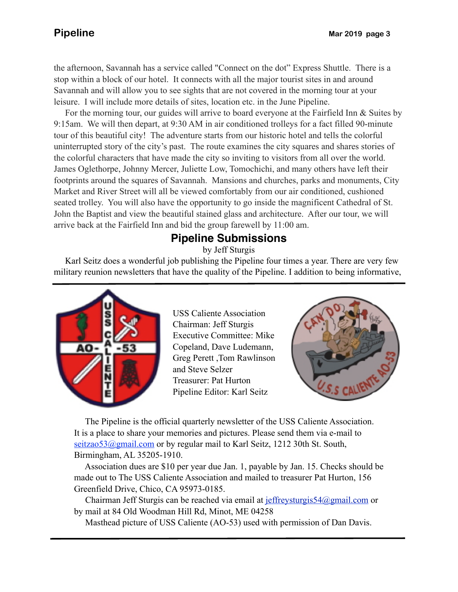the afternoon, Savannah has a service called "Connect on the dot" Express Shuttle. There is a stop within a block of our hotel. It connects with all the major tourist sites in and around Savannah and will allow you to see sights that are not covered in the morning tour at your leisure. I will include more details of sites, location etc. in the June Pipeline.

 tour of this beautiful city! The adventure starts from our historic hotel and tells the colorful For the morning tour, our guides will arrive to board everyone at the Fairfield Inn & Suites by 9:15am. We will then depart, at 9:30 AM in air conditioned trolleys for a fact filled 90-minute uninterrupted story of the city's past. The route examines the city squares and shares stories of the colorful characters that have made the city so inviting to visitors from all over the world. James Oglethorpe, Johnny Mercer, Juliette Low, Tomochichi, and many others have left their footprints around the squares of Savannah. Mansions and churches, parks and monuments, City Market and River Street will all be viewed comfortably from our air conditioned, cushioned seated trolley. You will also have the opportunity to go inside the magnificent Cathedral of St. John the Baptist and view the beautiful stained glass and architecture. After our tour, we will arrive back at the Fairfield Inn and bid the group farewell by 11:00 am.

# **Pipeline Submissions**

by Jeff Sturgis

 Karl Seitz does a wonderful job publishing the Pipeline four times a year. There are very few military reunion newsletters that have the quality of the Pipeline. I addition to being informative,



USS Caliente Association Chairman: Jeff Sturgis Executive Committee: Mike Copeland, Dave Ludemann, Greg Perett ,Tom Rawlinson and Steve Selzer Treasurer: Pat Hurton Pipeline Editor: Karl Seitz



 The Pipeline is the official quarterly newsletter of the USS Caliente Association. It is a place to share your memories and pictures. Please send them via e-mail to seitzao53@gmail.com or by regular mail to Karl Seitz, 1212 30th St. South, Birmingham, AL 35205-1910.

 Association dues are \$10 per year due Jan. 1, payable by Jan. 15. Checks should be made out to The USS Caliente Association and mailed to treasurer Pat Hurton, 156 Greenfield Drive, Chico, CA 95973-0185.

 Chairman Jeff Sturgis can be reached via email at [jeffreysturgis54@gmail.com](mailto:jeffreysturgis54@gmail.com) or by mail at 84 Old Woodman Hill Rd, Minot, ME 04258

Masthead picture of USS Caliente (AO-53) used with permission of Dan Davis.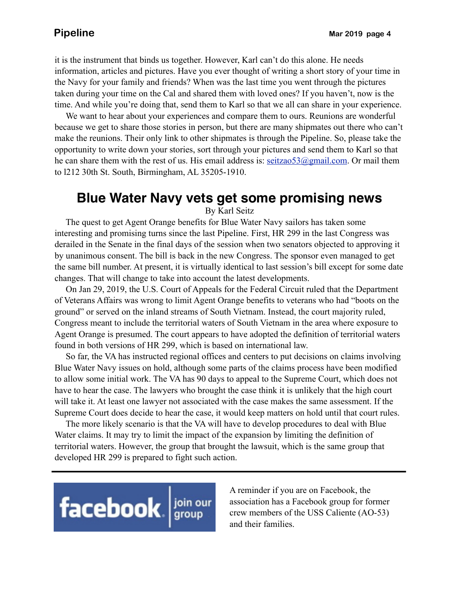it is the instrument that binds us together. However, Karl can't do this alone. He needs information, articles and pictures. Have you ever thought of writing a short story of your time in the Navy for your family and friends? When was the last time you went through the pictures taken during your time on the Cal and shared them with loved ones? If you haven't, now is the time. And while you're doing that, send them to Karl so that we all can share in your experience.

 We want to hear about your experiences and compare them to ours. Reunions are wonderful because we get to share those stories in person, but there are many shipmates out there who can't make the reunions. Their only link to other shipmates is through the Pipeline. So, please take the opportunity to write down your stories, sort through your pictures and send them to Karl so that he can share them with the rest of us. His email address is:  $seitzao53@gmail.com$ . Or mail them to l212 30th St. South, Birmingham, AL 35205-1910.

# **Blue Water Navy vets get some promising news**

By Karl Seitz

 The quest to get Agent Orange benefits for Blue Water Navy sailors has taken some interesting and promising turns since the last Pipeline. First, HR 299 in the last Congress was derailed in the Senate in the final days of the session when two senators objected to approving it by unanimous consent. The bill is back in the new Congress. The sponsor even managed to get the same bill number. At present, it is virtually identical to last session's bill except for some date changes. That will change to take into account the latest developments.

 On Jan 29, 2019, the U.S. Court of Appeals for the Federal Circuit ruled that the Department of Veterans Affairs was wrong to limit Agent Orange benefits to veterans who had "boots on the ground" or served on the inland streams of South Vietnam. Instead, the court majority ruled, Congress meant to include the territorial waters of South Vietnam in the area where exposure to Agent Orange is presumed. The court appears to have adopted the definition of territorial waters found in both versions of HR 299, which is based on international law.

 So far, the VA has instructed regional offices and centers to put decisions on claims involving Blue Water Navy issues on hold, although some parts of the claims process have been modified to allow some initial work. The VA has 90 days to appeal to the Supreme Court, which does not have to hear the case. The lawyers who brought the case think it is unlikely that the high court will take it. At least one lawyer not associated with the case makes the same assessment. If the Supreme Court does decide to hear the case, it would keep matters on hold until that court rules.

 The more likely scenario is that the VA will have to develop procedures to deal with Blue Water claims. It may try to limit the impact of the expansion by limiting the definition of territorial waters. However, the group that brought the lawsuit, which is the same group that developed HR 299 is prepared to fight such action.



A reminder if you are on Facebook, the association has a Facebook group for former crew members of the USS Caliente (AO-53) and their families.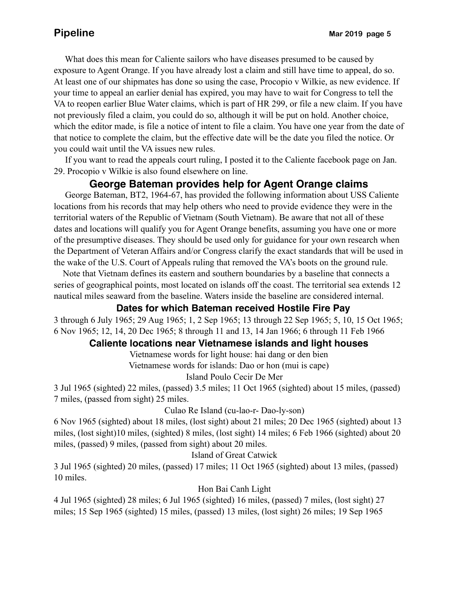What does this mean for Caliente sailors who have diseases presumed to be caused by exposure to Agent Orange. If you have already lost a claim and still have time to appeal, do so. At least one of our shipmates has done so using the case, Procopio v Wilkie, as new evidence. If your time to appeal an earlier denial has expired, you may have to wait for Congress to tell the VA to reopen earlier Blue Water claims, which is part of HR 299, or file a new claim. If you have not previously filed a claim, you could do so, although it will be put on hold. Another choice, which the editor made, is file a notice of intent to file a claim. You have one year from the date of that notice to complete the claim, but the effective date will be the date you filed the notice. Or you could wait until the VA issues new rules.

 If you want to read the appeals court ruling, I posted it to the Caliente facebook page on Jan. 29. Procopio v Wilkie is also found elsewhere on line.

### **George Bateman provides help for Agent Orange claims**

 George Bateman, BT2, 1964-67, has provided the following information about USS Caliente locations from his records that may help others who need to provide evidence they were in the territorial waters of the Republic of Vietnam (South Vietnam). Be aware that not all of these dates and locations will qualify you for Agent Orange benefits, assuming you have one or more of the presumptive diseases. They should be used only for guidance for your own research when the Department of Veteran Affairs and/or Congress clarify the exact standards that will be used in the wake of the U.S. Court of Appeals ruling that removed the VA's boots on the ground rule.

 Note that Vietnam defines its eastern and southern boundaries by a baseline that connects a series of geographical points, most located on islands off the coast. The territorial sea extends 12 nautical miles seaward from the baseline. Waters inside the baseline are considered internal.

#### **Dates for which Bateman received Hostile Fire Pay**

3 through 6 July 1965; 29 Aug 1965; 1, 2 Sep 1965; 13 through 22 Sep 1965; 5, 10, 15 Oct 1965; 6 Nov 1965; 12, 14, 20 Dec 1965; 8 through 11 and 13, 14 Jan 1966; 6 through 11 Feb 1966

#### **Caliente locations near Vietnamese islands and light houses**

Vietnamese words for light house: hai dang or den bien

Vietnamese words for islands: Dao or hon (mui is cape)

Island Poulo Cecir De Mer

3 Jul 1965 (sighted) 22 miles, (passed) 3.5 miles; 11 Oct 1965 (sighted) about 15 miles, (passed) 7 miles, (passed from sight) 25 miles.

Culao Re Island (cu-lao-r- Dao-ly-son)

6 Nov 1965 (sighted) about 18 miles, (lost sight) about 21 miles; 20 Dec 1965 (sighted) about 13 miles, (lost sight)10 miles, (sighted) 8 miles, (lost sight) 14 miles; 6 Feb 1966 (sighted) about 20 miles, (passed) 9 miles, (passed from sight) about 20 miles.

#### Island of Great Catwick

3 Jul 1965 (sighted) 20 miles, (passed) 17 miles; 11 Oct 1965 (sighted) about 13 miles, (passed) 10 miles.

#### Hon Bai Canh Light

4 Jul 1965 (sighted) 28 miles; 6 Jul 1965 (sighted) 16 miles, (passed) 7 miles, (lost sight) 27 miles; 15 Sep 1965 (sighted) 15 miles, (passed) 13 miles, (lost sight) 26 miles; 19 Sep 1965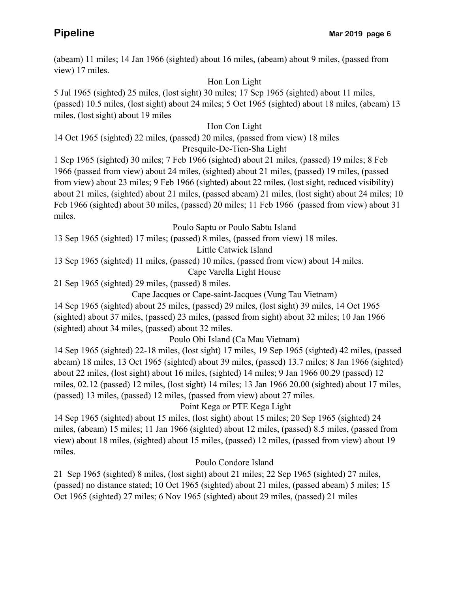(abeam) 11 miles; 14 Jan 1966 (sighted) about 16 miles, (abeam) about 9 miles, (passed from view) 17 miles.

#### Hon Lon Light

5 Jul 1965 (sighted) 25 miles, (lost sight) 30 miles; 17 Sep 1965 (sighted) about 11 miles, (passed) 10.5 miles, (lost sight) about 24 miles; 5 Oct 1965 (sighted) about 18 miles, (abeam) 13 miles, (lost sight) about 19 miles

#### Hon Con Light

14 Oct 1965 (sighted) 22 miles, (passed) 20 miles, (passed from view) 18 miles

#### Presquile-De-Tien-Sha Light

1 Sep 1965 (sighted) 30 miles; 7 Feb 1966 (sighted) about 21 miles, (passed) 19 miles; 8 Feb 1966 (passed from view) about 24 miles, (sighted) about 21 miles, (passed) 19 miles, (passed from view) about 23 miles; 9 Feb 1966 (sighted) about 22 miles, (lost sight, reduced visibility) about 21 miles, (sighted) about 21 miles, (passed abeam) 21 miles, (lost sight) about 24 miles; 10 Feb 1966 (sighted) about 30 miles, (passed) 20 miles; 11 Feb 1966 (passed from view) about 31 miles.

#### Poulo Saptu or Poulo Sabtu Island

13 Sep 1965 (sighted) 17 miles; (passed) 8 miles, (passed from view) 18 miles.

Little Catwick Island

13 Sep 1965 (sighted) 11 miles, (passed) 10 miles, (passed from view) about 14 miles.

Cape Varella Light House

21 Sep 1965 (sighted) 29 miles, (passed) 8 miles.

Cape Jacques or Cape-saint-Jacques (Vung Tau Vietnam)

14 Sep 1965 (sighted) about 25 miles, (passed) 29 miles, (lost sight) 39 miles, 14 Oct 1965 (sighted) about 37 miles, (passed) 23 miles, (passed from sight) about 32 miles; 10 Jan 1966 (sighted) about 34 miles, (passed) about 32 miles.

Poulo Obi Island (Ca Mau Vietnam)

14 Sep 1965 (sighted) 22-18 miles, (lost sight) 17 miles, 19 Sep 1965 (sighted) 42 miles, (passed abeam) 18 miles, 13 Oct 1965 (sighted) about 39 miles, (passed) 13.7 miles; 8 Jan 1966 (sighted) about 22 miles, (lost sight) about 16 miles, (sighted) 14 miles; 9 Jan 1966 00.29 (passed) 12 miles, 02.12 (passed) 12 miles, (lost sight) 14 miles; 13 Jan 1966 20.00 (sighted) about 17 miles, (passed) 13 miles, (passed) 12 miles, (passed from view) about 27 miles.

#### Point Kega or PTE Kega Light

14 Sep 1965 (sighted) about 15 miles, (lost sight) about 15 miles; 20 Sep 1965 (sighted) 24 miles, (abeam) 15 miles; 11 Jan 1966 (sighted) about 12 miles, (passed) 8.5 miles, (passed from view) about 18 miles, (sighted) about 15 miles, (passed) 12 miles, (passed from view) about 19 miles.

#### Poulo Condore Island

21 Sep 1965 (sighted) 8 miles, (lost sight) about 21 miles; 22 Sep 1965 (sighted) 27 miles, (passed) no distance stated; 10 Oct 1965 (sighted) about 21 miles, (passed abeam) 5 miles; 15 Oct 1965 (sighted) 27 miles; 6 Nov 1965 (sighted) about 29 miles, (passed) 21 miles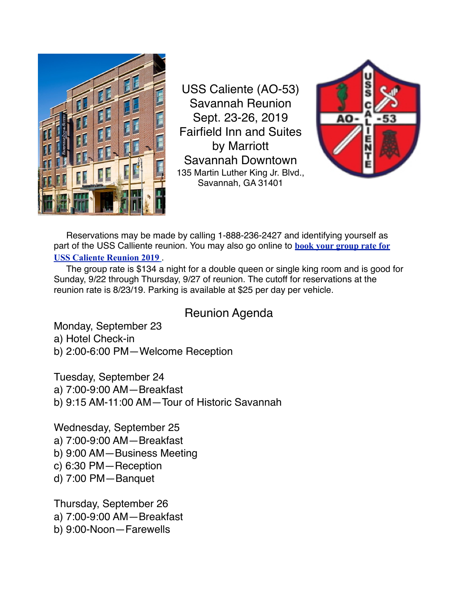

USS Caliente (AO-53) Savannah Reunion Sept. 23-26, 2019 Fairfield Inn and Suites by Marriott Savannah Downtown 135 Martin Luther King Jr. Blvd., Savannah, GA 31401



 Reservations may be made by calling 1-888-236-2427 and identifying yourself as part of the USS Calliente reunion. You may also go online to **[book your group rate for](https://www.marriott.com/events/start.mi?id=1543438937403&key=GRP)  [USS Caliente Reunion 2019](https://www.marriott.com/events/start.mi?id=1543438937403&key=GRP)** .

 The group rate is \$134 a night for a double queen or single king room and is good for Sunday, 9/22 through Thursday, 9/27 of reunion. The cutoff for reservations at the reunion rate is 8/23/19. Parking is available at \$25 per day per vehicle.

# Reunion Agenda

Monday, September 23 a) Hotel Check-in b) 2:00-6:00 PM—Welcome Reception

Tuesday, September 24

a) 7:00-9:00 AM—Breakfast

b) 9:15 AM-11:00 AM—Tour of Historic Savannah

Wednesday, September 25

a) 7:00-9:00 AM—Breakfast

- b) 9:00 AM—Business Meeting
- c) 6:30 PM—Reception
- d) 7:00 PM—Banquet

Thursday, September 26 a) 7:00-9:00 AM—Breakfast b) 9:00-Noon—Farewells